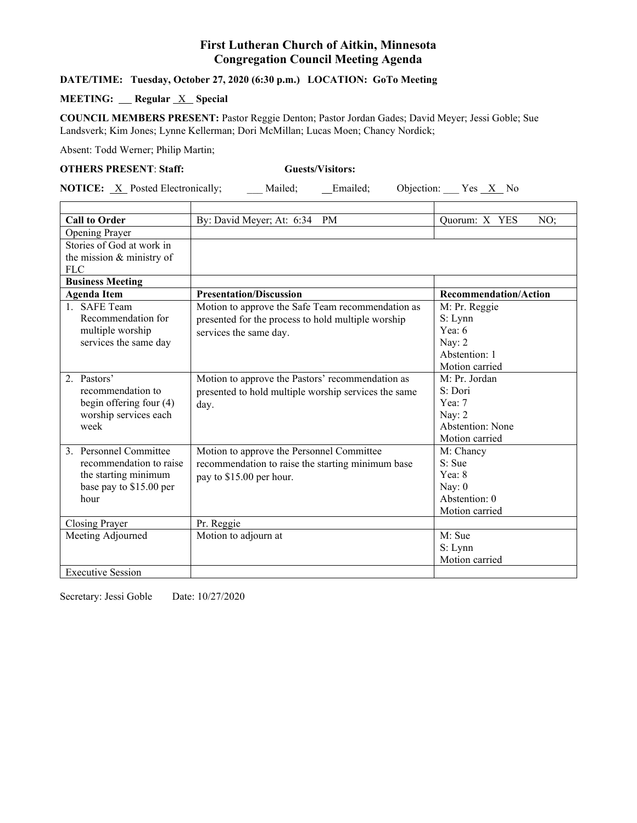## **First Lutheran Church of Aitkin, Minnesota Congregation Council Meeting Agenda**

#### **DATE/TIME: Tuesday, October 27, 2020 (6:30 p.m.) LOCATION: GoTo Meeting**

### **MEETING:** Regular **X** Special

**COUNCIL MEMBERS PRESENT:** Pastor Reggie Denton; Pastor Jordan Gades; David Meyer; Jessi Goble; Sue Landsverk; Kim Jones; Lynne Kellerman; Dori McMillan; Lucas Moen; Chancy Nordick;

Absent: Todd Werner; Philip Martin;

#### **OTHERS PRESENT**: **Staff: Guests/Visitors:**

**NOTICE:** <u>X</u> Posted Electronically; \_\_\_ Mailed; \_\_\_ Emailed; Objection: \_\_ Yes <u>X</u> No

| <b>Call to Order</b>      | By: David Meyer; At: 6:34<br>PM                      | Quorum: X YES<br>NO;         |
|---------------------------|------------------------------------------------------|------------------------------|
| Opening Prayer            |                                                      |                              |
| Stories of God at work in |                                                      |                              |
| the mission & ministry of |                                                      |                              |
| <b>FLC</b>                |                                                      |                              |
| <b>Business Meeting</b>   |                                                      |                              |
| <b>Agenda Item</b>        | <b>Presentation/Discussion</b>                       | <b>Recommendation/Action</b> |
| 1. SAFE Team              | Motion to approve the Safe Team recommendation as    | M: Pr. Reggie                |
| Recommendation for        | presented for the process to hold multiple worship   | S: Lynn                      |
| multiple worship          | services the same day.                               | Yea: $6$                     |
| services the same day     |                                                      | Nay: 2                       |
|                           |                                                      | Abstention: 1                |
|                           |                                                      | Motion carried               |
| 2. Pastors'               | Motion to approve the Pastors' recommendation as     | M: Pr. Jordan                |
| recommendation to         | presented to hold multiple worship services the same | S: Dori                      |
| begin offering four (4)   | day.                                                 | Yea: $7$                     |
| worship services each     |                                                      | Nay: 2                       |
| week                      |                                                      | Abstention: None             |
|                           |                                                      | Motion carried               |
| 3. Personnel Committee    | Motion to approve the Personnel Committee            | M: Chancy                    |
| recommendation to raise   | recommendation to raise the starting minimum base    | $S:$ Sue                     |
| the starting minimum      | pay to \$15.00 per hour.                             | Yea: 8                       |
| base pay to \$15.00 per   |                                                      | Nay: $0$                     |
| hour                      |                                                      | Abstention: 0                |
|                           |                                                      | Motion carried               |
| Closing Prayer            | Pr. Reggie                                           |                              |
| Meeting Adjourned         | Motion to adjourn at                                 | M: Sue                       |
|                           |                                                      | S: Lynn                      |
|                           |                                                      | Motion carried               |
| <b>Executive Session</b>  |                                                      |                              |

Secretary: Jessi Goble Date: 10/27/2020